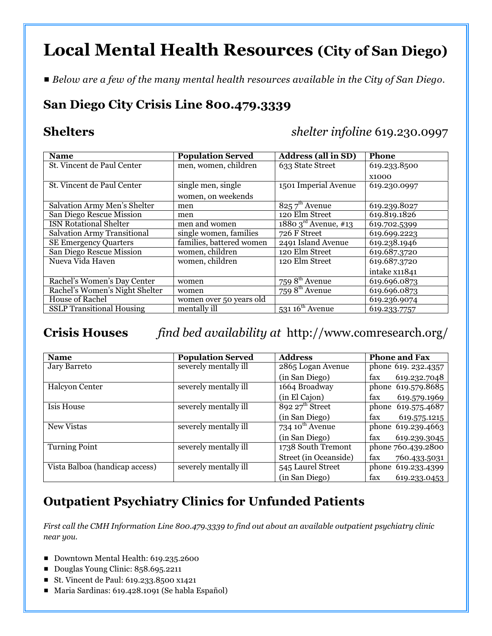# **Local Mental Health Resources (City of San Diego)**

# *Below are a few of the many mental health resources available in the City of San Diego.*

# **San Diego City Crisis Line 800.479.3339**

**Shelters** *shelter infoline* 619.230.0997

| <b>Name</b>                        | <b>Population Served</b> | <b>Address (all in SD)</b>    | <b>Phone</b>  |
|------------------------------------|--------------------------|-------------------------------|---------------|
| St. Vincent de Paul Center         | men, women, children     | 633 State Street              | 619.233.8500  |
|                                    |                          |                               | <b>X1000</b>  |
| St. Vincent de Paul Center         | single men, single       | 1501 Imperial Avenue          | 619.230.0997  |
|                                    | women, on weekends       |                               |               |
| Salvation Army Men's Shelter       | men                      | $8257^{\text{th}}$ Avenue     | 619.239.8027  |
| San Diego Rescue Mission           | men                      | 120 Elm Street                | 619.819.1826  |
| <b>ISN Rotational Shelter</b>      | men and women            | 1880 $3^{\rm rd}$ Avenue, #13 | 619.702.5399  |
| <b>Salvation Army Transitional</b> | single women, families   | 726 F Street                  | 619.699.2223  |
| <b>SE Emergency Quarters</b>       | families, battered women | 2491 Island Avenue            | 619.238.1946  |
| San Diego Rescue Mission           | women, children          | 120 Elm Street                | 619.687.3720  |
| Nueva Vida Haven                   | women, children          | 120 Elm Street                | 619.687.3720  |
|                                    |                          |                               | intake x11841 |
| Rachel's Women's Day Center        | women                    | 759 $8^{\text{th}}$ Avenue    | 619.696.0873  |
| Rachel's Women's Night Shelter     | women                    | 759 $8^{\text{th}}$ Avenue    | 619.696.0873  |
| <b>House of Rachel</b>             | women over 50 years old  |                               | 619.236.9074  |
| <b>SSLP</b> Transitional Housing   | mentally ill             | 531 $16^{\text{th}}$ Avenue   | 619.233.7757  |

### **Crisis Houses** *find bed availability at* http://www.comresearch.org/

| <b>Name</b>                    | <b>Population Served</b> | <b>Address</b>                 | <b>Phone and Fax</b>  |
|--------------------------------|--------------------------|--------------------------------|-----------------------|
| Jary Barreto                   | severely mentally ill    | 2865 Logan Avenue              | phone 619. 232.4357   |
|                                |                          | (in San Diego)                 | 619.232.7048<br>fax   |
| <b>Halcyon Center</b>          | severely mentally ill    | 1664 Broadway                  | phone 619.579.8685    |
|                                |                          | (in El Cajon)                  | 619.579.1969<br>fax   |
| <b>Isis House</b>              | severely mentally ill    | $892\ 27$ <sup>th</sup> Street | 619.575.4687<br>phone |
|                                |                          | (in San Diego)                 | fax<br>619.575.1215   |
| New Vistas                     | severely mentally ill    | 734 $10^{th}$ Avenue           | phone 619.239.4663    |
|                                |                          | (in San Diego)                 | 619.239.3045<br>tax   |
| <b>Turning Point</b>           | severely mentally ill    | 1738 South Tremont             | phone 760.439.2800    |
|                                |                          | Street (in Oceanside)          | fax<br>760.433.5031   |
| Vista Balboa (handicap access) | severely mentally ill    | 545 Laurel Street              | 619.233.4399<br>phone |
|                                |                          | (in San Diego)                 | fax<br>619.233.0453   |

### **Outpatient Psychiatry Clinics for Unfunded Patients**

*First call the CMH Information Line 800.479.3339 to find out about an available outpatient psychiatry clinic near you.*

- Downtown Mental Health: 619.235.2600
- Douglas Young Clinic: 858.695.2211
- St. Vincent de Paul: 619.233.8500 x1421
- Maria Sardinas: 619.428.1091 (Se habla Español)